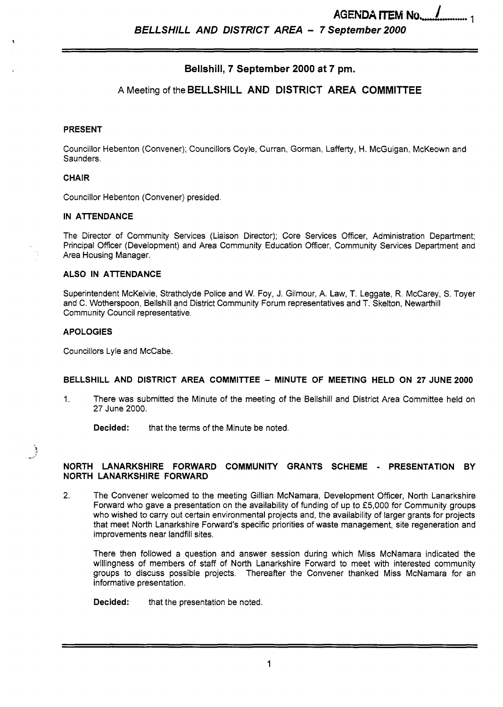*BELLSHILL AND DISTRICT AREA* - *7 September 2000* 

# **Bellshill, 7 September 2000 at 7 pm.**

## **A** Meeting of the **BELLSHILL AND DISTRICT AREA COMMITTEE**

#### **PRESENT**

Councillor Hebenton (Convener); Councillors Coyle, Curran, Gorman, Lafferty, H. McGuigan, McKeown and Saunders.

### **CHAIR**

Councillor Hebenton (Convener) presided

#### **IN ATTENDANCE**

The Director of community Services (Liaison Director); Core Services Officer, Administration Department; Principal Officer (Development) and Area Community Education Officer, Community Services Department and Area Housing Manager.

#### **ALSO IN ATTENDANCE**

Superintendent McKelvie, Strathclyde Police and W. Foy, **J.** Gilmour, A. Law, T. Leggate, R. McCarey, S. Toyer and C. Wotherspoon, Bellshill and District Community Forum representatives and T. Skelton, Newarthill Community Council representative.

### **APOLOGIES**

في

Councillors Lyle and McCabe.

### BELLSHILL AND DISTRICT AREA COMMITTEE - MINUTE OF MEETING HELD ON 27 JUNE 2000

1. There was submitted the Minute of the meeting of the Bellshill and District Area Committee held on 27 June 2000.

**Decided:** that the terms of the Minute be noted.

### **NORTH LANARKSHIRE FORWARD COMMUNITY GRANTS SCHEME** - **PRESENTATION BY NORTH LANARKSHIRE FORWARD**

2. The Convener welcomed to the meeting Gillian McNamara, Development Officer, North Lanarkshire Forward who gave a presentation on the availability of funding of up to €5,000 for Community groups who wished to carry out certain environmental projects and, the availability of larger grants for projects that meet North Lanarkshire Forward's specific priorities of waste management, site regeneration and improvements near landfill sites.

There then followed a question and answer session during which Miss McNamara indicated the willingness of members of staff of North Lanarkshire Forward to meet with interested community groups to discuss possible projects. Thereafter the Convener thanked Miss McNamara for an informative presentation.

**Decided:** that the presentation be noted.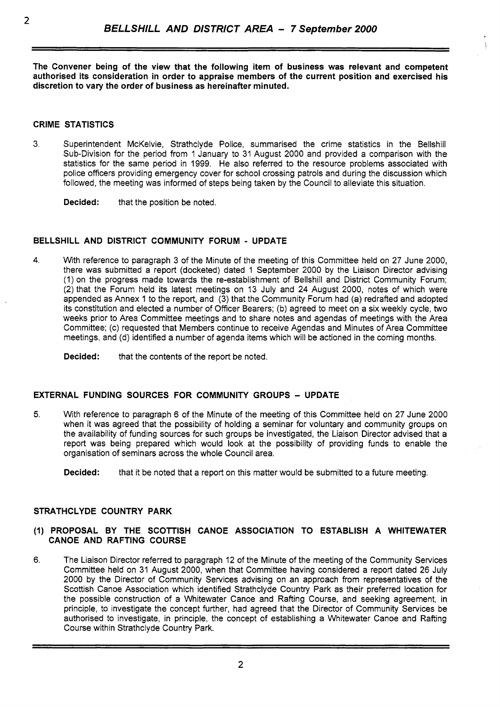**The Convener being of the view that the following item of business was relevant and competent authorised its consideration in order to appraise members of the current position and exercised his discretion to vary the order of business as hereinafter minuted.** 

### **CRIME STATISTICS**

3. Superintendent McKelvie, Strathclyde Police, summarised the crime statistics in the Bellshill Sub-Division for the period from 1 January to 31 August 2000 and provided a comparison with the statistics for the same period in 1999. He also referred to the resource problems associated with police officers providing emergency cover for school crossing patrols and during the discussion which followed, the meeting was informed of steps being taken by the Council to alleviate this situation.

**Decided:** that the position be noted.

### **BELLSHILL AND DISTRICT COMMUNITY FORUM** - **UPDATE**

**4.** With reference to paragraph 3 of the Minute of the meeting of this Committee held on 27 June 2000, there was submitted a report (docketed) dated 1 September 2000 by the Liaison Director advising (1) on the progress made towards the re-establishment of Bellshill and District Community Forum; (2) that the Forum held its latest meetings on 13 July and **24** August 2000, notes of which were appended as Annex 1 to the report, and (3) that the Community Forum had (a) redrafted and adopted its constitution and elected a number of Officer Bearers; (b) agreed to meet on a six weekly cycle, two weeks prior to Area Committee meetings and to share notes and agendas of meetings with the Area Committee; (c) requested that Members continue to receive Agendas and Minutes of Area Committee meetings, and (d) identified a number of agenda items which will be actioned in the coming months.

**Decided:** that the contents of the report be noted.

### **EXTERNAL FUNDING SOURCES FOR COMMUNITY GROUPS - UPDATE**

**5.** With reference to paragraph 6 of the Minute of the meeting of this Committee held **on** 27 June 2000 when it was agreed that the possibility of holding a seminar for voluntary and community groups on the availability of funding sources for such groups be investigated, the Liaison Director advised that a report was being prepared which would look at the possibility of providing funds to enable the organisation of seminars across the whole Council area.

**Decided:** that it be noted that a report on this matter would be submitted to a future meeting.

### **STRATHCLYDE COUNTRY PARK**

### *(I)* **PROPOSAL BY THE SCOTTISH CANOE ASSOCIATION TO ESTABLISH A WHITEWATER CANOE AND RAFTING COURSE**

6. The Liaison Director referred to paragraph 12 of the Minute of the meeting of the Community Services Committee held on 31 August 2000, when that Committee having considered a report dated 26 July 2000 by the Director of Community Services advising on an approach from representatives of the Scottish Canoe Association which identified Strathclyde Country Park as their preferred location for the possible construction of a Whitewater Canoe and Rafting Course, and seeking agreement, in principle, to investigate the concept further, had agreed that the Director of Community Services be authorised to investigate, in principle, the concept of establishing a Whitewater Canoe and Rafting Course within Strathclyde Country Park.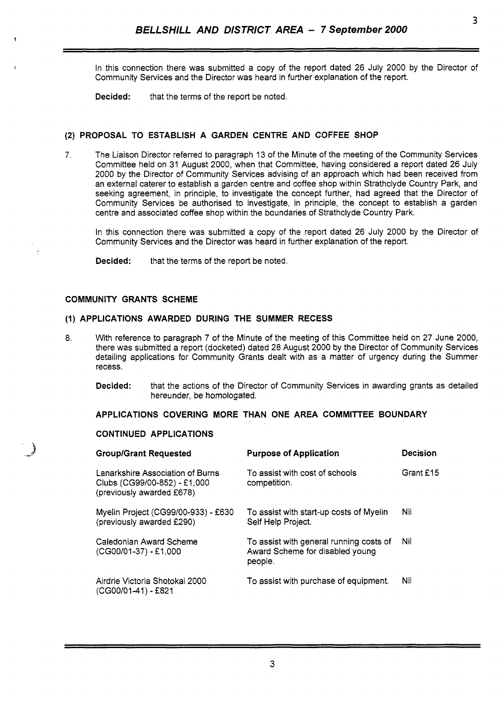In this connection there was submitted a copy of the report dated 26 July 2000 by the Director of Community Services and the Director was heard in further explanation of the report.

**Decided:** that the terms of the report be noted.

### **(2) PROPOSAL TO ESTABLISH A GARDEN CENTRE AND COFFEE SHOP**

7. The Liaison Director referred to paragraph 13 of the Minute of the meeting of the Community Services Committee held on 31 August 2000, when that committee, having considered a report dated 26 July 2000 **by** the Director of Community Services advising of an approach which had been received from an external caterer to establish a garden centre and coffee shop within Strathclyde Country Park, and seeking agreement, in principle, to investigate the concept further, had agreed that the Director of Community Services be authorised to investigate, in principle, the concept to establish a garden centre and associated coffee shop within the boundaries of Strathclyde Country Park.

In this connection there was submitted a copy of the report dated 26 July 2000 by the Director of Community Services and the Director was heard in further explanation of the report.

**Decided:** that the terms of the report be noted.

#### **COMMUNITY GRANTS SCHEME**

#### **(1) APPLICATIONS AWARDED DURING THE SUMMER RECESS**

- 8. With reference to paragraph 7 of the Minute of the meeting of this Committee held on 27 June 2000, there was submitted a report (docketed) dated 28 August 2000 by the Director of Community Services detailing applications for Community Grants dealt with as a matter of urgency during the Summer recess.
	- **Decided:** that the actions of the Director of Community Services in awarding grants as detailed hereunder, be homologated.

### **APPLICATIONS COVERING MORE THAN ONE AREA COMMITTEE BOUNDARY**

### **CONTINUED APPLICATIONS**

| <b>Group/Grant Requested</b>                                                                  | <b>Purpose of Application</b>                                                         | <b>Decision</b> |
|-----------------------------------------------------------------------------------------------|---------------------------------------------------------------------------------------|-----------------|
| Lanarkshire Association of Burns<br>Clubs (CG99/00-852) - £1,000<br>(previously awarded £678) | To assist with cost of schools<br>competition.                                        | Grant £15       |
| Myelin Project (CG99/00-933) - £630<br>(previously awarded £290)                              | To assist with start-up costs of Myelin<br>Self Help Project.                         | Nil             |
| Caledonian Award Scheme<br>(CG00/01-37) - £1,000                                              | To assist with general running costs of<br>Award Scheme for disabled young<br>people. | Nil             |
| Airdrie Victoria Shotokai 2000<br>(CG00/01-41) - £821                                         | To assist with purchase of equipment.                                                 | Nil             |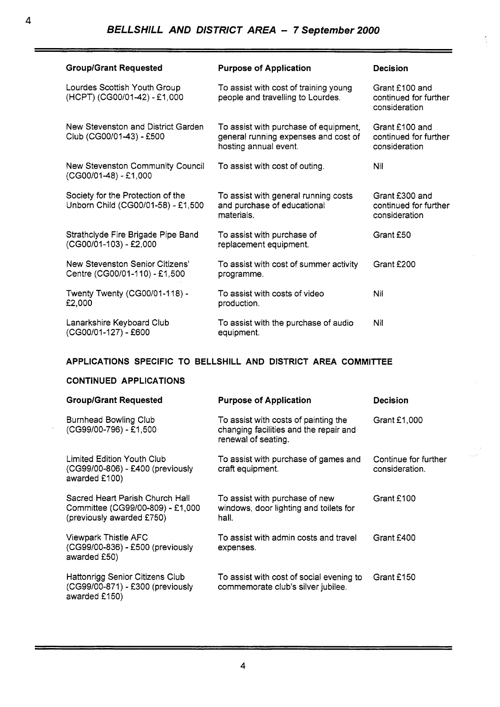| <b>Group/Grant Requested</b>                                            | <b>Purpose of Application</b>                                                                          | <b>Decision</b>                                          |
|-------------------------------------------------------------------------|--------------------------------------------------------------------------------------------------------|----------------------------------------------------------|
| Lourdes Scottish Youth Group<br>(HCPT) (CG00/01-42) - £1,000            | To assist with cost of training young<br>people and travelling to Lourdes.                             | Grant £100 and<br>continued for further<br>consideration |
| New Stevenston and District Garden<br>Club (CG00/01-43) - £500          | To assist with purchase of equipment,<br>general running expenses and cost of<br>hosting annual event. | Grant £100 and<br>continued for further<br>consideration |
| New Stevenston Community Council<br>(CG00/01-48) - £1,000               | To assist with cost of outing.                                                                         | Nil                                                      |
| Society for the Protection of the<br>Unborn Child (CG00/01-58) - £1,500 | To assist with general running costs<br>and purchase of educational<br>materials.                      | Grant £300 and<br>continued for further<br>consideration |
| Strathclyde Fire Brigade Pipe Band<br>(CG00/01-103) - £2,000            | To assist with purchase of<br>replacement equipment.                                                   | Grant £50                                                |
| New Stevenston Senior Citizens'<br>Centre (CG00/01-110) - £1,500        | To assist with cost of summer activity<br>programme.                                                   | Grant £200                                               |
| Twenty Twenty (CG00/01-118) -<br>£2,000                                 | To assist with costs of video<br>production.                                                           | Nil                                                      |
| Lanarkshire Keyboard Club<br>(CG00/01-127) - £600                       | To assist with the purchase of audio<br>equipment.                                                     | Nil                                                      |

## **APPLICATIONS SPECIFIC TO BELLSHILL AND DISTRICT AREA COMMITTEE**

## **CONTINUED APPLICATIONS**

| <b>Group/Grant Requested</b>                                                                     | <b>Purpose of Application</b>                                                                         | <b>Decision</b>                        |
|--------------------------------------------------------------------------------------------------|-------------------------------------------------------------------------------------------------------|----------------------------------------|
| <b>Burnhead Bowling Club</b><br>(CG99/00-796) - £1,500                                           | To assist with costs of painting the<br>changing facilities and the repair and<br>renewal of seating. | Grant £1,000                           |
| Limited Edition Youth Club<br>(CG99/00-806) - £400 (previously<br>awarded £100)                  | To assist with purchase of games and<br>craft equipment.                                              | Continue for further<br>consideration. |
| Sacred Heart Parish Church Hall<br>Committee (CG99/00-809) - £1,000<br>(previously awarded £750) | To assist with purchase of new<br>windows, door lighting and toilets for<br>hall.                     | Grant £100                             |
| <b>Viewpark Thistle AFC</b><br>(CG99/00-836) - £500 (previously<br>awarded £50)                  | To assist with admin costs and travel<br>expenses.                                                    | Grant £400                             |
| Hattonrigg Senior Citizens Club<br>(CG99/00-871) - £300 (previously<br>awarded £150)             | To assist with cost of social evening to<br>commemorate club's silver jubilee.                        | Grant £150                             |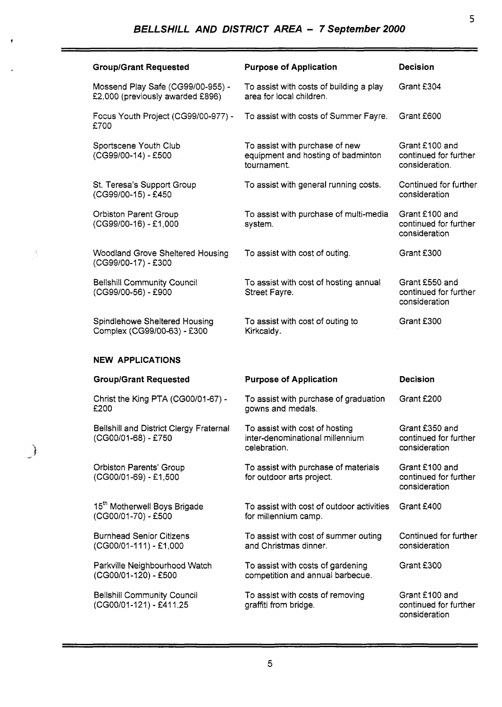ÿ

 $\frac{\lambda}{\lambda}$ 

| <b>Group/Grant Requested</b>                                          | <b>Purpose of Application</b>                                                       | <b>Decision</b>                                           |
|-----------------------------------------------------------------------|-------------------------------------------------------------------------------------|-----------------------------------------------------------|
| Mossend Play Safe (CG99/00-955) -<br>£2,000 (previously awarded £896) | To assist with costs of building a play<br>area for local children.                 | Grant £304                                                |
| Focus Youth Project (CG99/00-977) -<br>£700                           | To assist with costs of Summer Fayre.                                               | Grant £600                                                |
| Sportscene Youth Club<br>(CG99/00-14) - £500                          | To assist with purchase of new<br>equipment and hosting of badminton<br>tournament. | Grant £100 and<br>continued for further<br>consideration. |
| St. Teresa's Support Group<br>(CG99/00-15) - £450                     | To assist with general running costs.                                               | Continued for further<br>consideration                    |
| <b>Orbiston Parent Group</b><br>(CG99/00-16) - £1,000                 | To assist with purchase of multi-media<br>system.                                   | Grant £100 and<br>continued for further<br>consideration  |
| <b>Woodland Grove Sheltered Housing</b><br>(CG99/00-17) - £300        | To assist with cost of outing.                                                      | Grant £300                                                |
| <b>Bellshill Community Council</b><br>(CG99/00-56) - £900             | To assist with cost of hosting annual<br>Street Fayre.                              | Grant £550 and<br>continued for further<br>consideration  |
| Spindlehowe Sheltered Housing<br>Complex (CG99/00-63) - £300          | To assist with cost of outing to<br>Kirkcaldy.                                      | Grant £300                                                |
|                                                                       |                                                                                     |                                                           |
| <b>NEW APPLICATIONS</b>                                               |                                                                                     |                                                           |
| <b>Group/Grant Requested</b>                                          | <b>Purpose of Application</b>                                                       | <b>Decision</b>                                           |
| Christ the King PTA (CG00/01-67) -<br>£200                            | To assist with purchase of graduation<br>gowns and medals.                          | Grant £200                                                |
| Bellshill and District Clergy Fraternal<br>(CG00/01-68) - £750        | To assist with cost of hosting<br>inter-denominational millennium<br>celebration.   | Grant £350 and<br>continued for further<br>consideration  |
| <b>Orbiston Parents' Group</b><br>(CG00/01-69) - £1,500               | To assist with purchase of materials<br>for outdoor arts project.                   | Grant £100 and<br>continued for further<br>consideration  |
| 15 <sup>th</sup> Motherwell Boys Brigade<br>(CG00/01-70) - £500       | To assist with cost of outdoor activities<br>for millennium camp.                   | Grant £400                                                |
| <b>Burnhead Senior Citizens</b><br>(CG00/01-111) - £1,000             | To assist with cost of summer outing<br>and Christmas dinner.                       | Continued for further<br>consideration                    |
| Parkville Neighbourhood Watch<br>(CG00/01-120) - £500                 | To assist with costs of gardening<br>competition and annual barbecue.               | Grant £300                                                |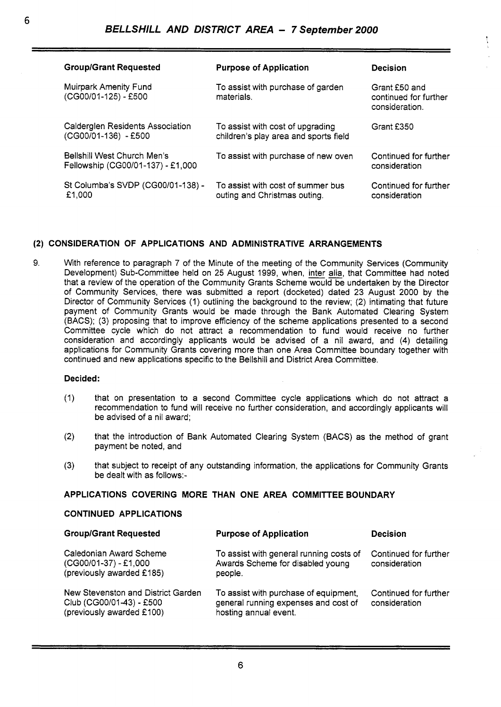| <b>Group/Grant Requested</b>                                     | <b>Purpose of Application</b>                                             | <b>Decision</b>                                          |
|------------------------------------------------------------------|---------------------------------------------------------------------------|----------------------------------------------------------|
| Muirpark Amenity Fund<br>(CG00/01-125) - £500                    | To assist with purchase of garden<br>materials.                           | Grant £50 and<br>continued for further<br>consideration. |
| Calderglen Residents Association<br>(CG00/01-136) - £500         | To assist with cost of upgrading<br>children's play area and sports field | Grant £350                                               |
| Bellshill West Church Men's<br>Fellowship (CG00/01-137) - £1,000 | To assist with purchase of new oven                                       | Continued for further<br>consideration                   |
| St Columba's SVDP (CG00/01-138) -<br>£1,000                      | To assist with cost of summer bus<br>outing and Christmas outing.         | Continued for further<br>consideration                   |

# **(2) CONSIDERATION OF APPLICATIONS AND ADMINISTRATIVE ARRANGEMENTS**

9. With reference to paragraph 7 of the Minute of the meeting of the Community Services (Community Development) Sub-Committee held on 25 August 1999, when, inter alia, that Committee had noted that a review of the operation of the Community Grants Scheme would be undertaken by the Director of Community Services, there was submitted a report (docketed) dated 23 August 2000 by the Director of Community Services (1) outlining the background to the review; (2) intimating that future payment of Community Grants would be made through the Bank Automated Clearing System (BACS); (3) proposing that to improve efficiency of the scheme applications presented to a second Committee cycle which do not attract a recommendation to fund would receive no further consideration and accordingly applicants would be advised of a nil award, and **(4)** detailing applications for Community Grants covering more than one Area Committee boundary together with continued and new applications specific to the Bellshill and District Area Committee.

### **Decided:**

- (1) that on presentation to a second Committee cycle applications which do not attract a recommendation to fund will receive no further consideration, and accordingly applicants will be advised of a nil award:
- (2) that the introduction of Bank Automated Clearing System (BACS) as the method of grant payment be noted, and
- (3) that subject to receipt of any outstanding information, the applications for Community Grants be dealt with as follows:-

### **APPLICATIONS COVERING MORE THAN ONE AREA COMMITTEE BOUNDARY**

### **CONTINUED APPLICATIONS**

| <b>Group/Grant Requested</b>                                                                | <b>Purpose of Application</b>                                                                          | <b>Decision</b>                        |
|---------------------------------------------------------------------------------------------|--------------------------------------------------------------------------------------------------------|----------------------------------------|
| Caledonian Award Scheme<br>$(CG00/01-37) - £1,000$<br>(previously awarded £185)             | To assist with general running costs of<br>Awards Scheme for disabled young<br>people.                 | Continued for further<br>consideration |
| New Stevenston and District Garden<br>Club (CG00/01-43) - £500<br>(previously awarded £100) | To assist with purchase of equipment,<br>general running expenses and cost of<br>hosting annual event. | Continued for further<br>consideration |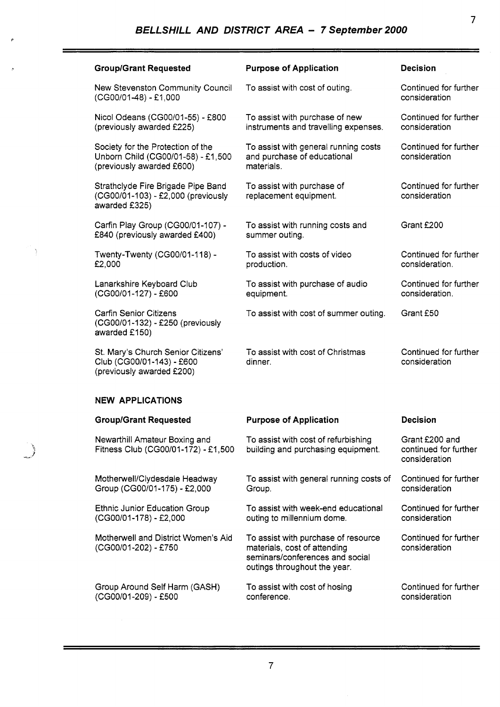| <b>Group/Grant Requested</b>                                                                         | <b>Purpose of Application</b>                                                                                                          | <b>Decision</b>                                          |
|------------------------------------------------------------------------------------------------------|----------------------------------------------------------------------------------------------------------------------------------------|----------------------------------------------------------|
| New Stevenston Community Council<br>(CG00/01-48) - £1,000                                            | To assist with cost of outing.                                                                                                         | Continued for further<br>consideration                   |
| Nicol Odeans (CG00/01-55) - £800<br>(previously awarded £225)                                        | To assist with purchase of new<br>instruments and travelling expenses.                                                                 | Continued for further<br>consideration                   |
| Society for the Protection of the<br>Unborn Child (CG00/01-58) - £1,500<br>(previously awarded £600) | To assist with general running costs<br>and purchase of educational<br>materials.                                                      | Continued for further<br>consideration                   |
| Strathclyde Fire Brigade Pipe Band<br>(CG00/01-103) - £2,000 (previously<br>awarded £325)            | To assist with purchase of<br>replacement equipment.                                                                                   | Continued for further<br>consideration                   |
| Carfin Play Group (CG00/01-107) -<br>£840 (previously awarded £400)                                  | To assist with running costs and<br>summer outing.                                                                                     | Grant £200                                               |
| Twenty-Twenty (CG00/01-118) -<br>£2,000                                                              | To assist with costs of video<br>production.                                                                                           | Continued for further<br>consideration.                  |
| Lanarkshire Keyboard Club<br>(CG00/01-127) - £600                                                    | To assist with purchase of audio<br>equipment.                                                                                         | Continued for further<br>consideration.                  |
| <b>Carfin Senior Citizens</b><br>(CG00/01-132) - £250 (previously<br>awarded £150)                   | To assist with cost of summer outing.                                                                                                  | Grant £50                                                |
| St. Mary's Church Senior Citizens'<br>Club (CG00/01-143) - £600<br>(previously awarded £200)         | To assist with cost of Christmas<br>dinner.                                                                                            | Continued for further<br>consideration                   |
| <b>NEW APPLICATIONS</b>                                                                              |                                                                                                                                        |                                                          |
| <b>Group/Grant Requested</b>                                                                         | <b>Purpose of Application</b>                                                                                                          | <b>Decision</b>                                          |
| Newarthill Amateur Boxing and<br>Fitness Club (CG00/01-172) - £1,500                                 | To assist with cost of refurbishing<br>building and purchasing equipment.                                                              | Grant £200 and<br>continued for further<br>consideration |
| Motherwell/Clydesdale Headway<br>Group (CG00/01-175) - £2,000                                        | To assist with general running costs of<br>Group.                                                                                      | Continued for further<br>consideration                   |
| <b>Ethnic Junior Education Group</b><br>(CG00/01-178) - £2,000                                       | To assist with week-end educational<br>outing to millennium dome.                                                                      | Continued for further<br>consideration                   |
| Motherwell and District Women's Aid<br>(CG00/01-202) - £750                                          | To assist with purchase of resource<br>materials, cost of attending<br>seminars/conferences and social<br>outings throughout the year. | Continued for further<br>consideration                   |
| Group Around Self Harm (GASH)<br>(CG00/01-209) - £500                                                | To assist with cost of hosing<br>conference.                                                                                           | Continued for further<br>consideration                   |

 $\frac{3}{2}$ 

 $\mathbb{R}$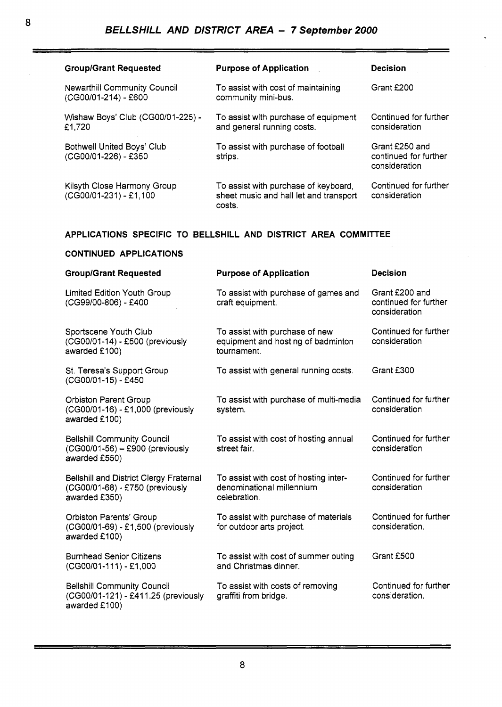**8** 

| <b>Group/Grant Requested</b>                                   | <b>Purpose of Application</b>                                                            | <b>Decision</b>                                          |
|----------------------------------------------------------------|------------------------------------------------------------------------------------------|----------------------------------------------------------|
| <b>Newarthill Community Council</b><br>(CG00/01-214) - £600    | To assist with cost of maintaining<br>community mini-bus.                                | Grant £200                                               |
| Wishaw Boys' Club (CG00/01-225) -<br>£1,720                    | To assist with purchase of equipment<br>and general running costs.                       | Continued for further<br>consideration                   |
| <b>Bothwell United Boys' Club</b><br>(CG00/01-226) - £350      | To assist with purchase of football<br>strips.                                           | Grant £250 and<br>continued for further<br>consideration |
| Kilsyth Close Harmony Group<br>(CG00/01-231) - £1,100          | To assist with purchase of keyboard,<br>sheet music and hall let and transport<br>costs. | Continued for further<br>consideration                   |
| APPLICATIONS SPECIFIC TO BELLSHILL AND DISTRICT AREA COMMITTEE |                                                                                          |                                                          |
| <b>CONTINUED APPLICATIONS</b>                                  |                                                                                          |                                                          |

| <b>Group/Grant Requested</b>                                                                       | <b>Purpose of Application</b>                                                       | <b>Decision</b>                                          |
|----------------------------------------------------------------------------------------------------|-------------------------------------------------------------------------------------|----------------------------------------------------------|
| <b>Limited Edition Youth Group</b><br>(CG99/00-806) - £400                                         | To assist with purchase of games and<br>craft equipment.                            | Grant £200 and<br>continued for further<br>consideration |
| Sportscene Youth Club<br>(CG00/01-14) - £500 (previously<br>awarded £100)                          | To assist with purchase of new<br>equipment and hosting of badminton<br>tournament. | Continued for further<br>consideration                   |
| St. Teresa's Support Group<br>(CG00/01-15) - £450                                                  | To assist with general running costs.                                               | Grant £300                                               |
| <b>Orbiston Parent Group</b><br>(CG00/01-16) - £1,000 (previously<br>awarded £100)                 | To assist with purchase of multi-media<br>system.                                   | Continued for further<br>consideration                   |
| <b>Bellshill Community Council</b><br>(CG00/01-56) - £900 (previously<br>awarded £550)             | To assist with cost of hosting annual<br>street fair.                               | Continued for further<br>consideration                   |
| <b>Bellshill and District Clergy Fraternal</b><br>(CG00/01-68) - £750 (previously<br>awarded £350) | To assist with cost of hosting inter-<br>denominational millennium<br>celebration.  | Continued for further<br>consideration                   |
| <b>Orbiston Parents' Group</b><br>(CG00/01-69) - £1,500 (previously<br>awarded £100)               | To assist with purchase of materials<br>for outdoor arts project.                   | Continued for further<br>consideration.                  |
| <b>Burnhead Senior Citizens</b><br>$(CG00/01-111) - E1,000$                                        | To assist with cost of summer outing<br>and Christmas dinner.                       | Grant £500                                               |
| <b>Bellshill Community Council</b><br>(CG00/01-121) - £411.25 (previously<br>awarded £100)         | To assist with costs of removing<br>graffiti from bridge.                           | Continued for further<br>consideration.                  |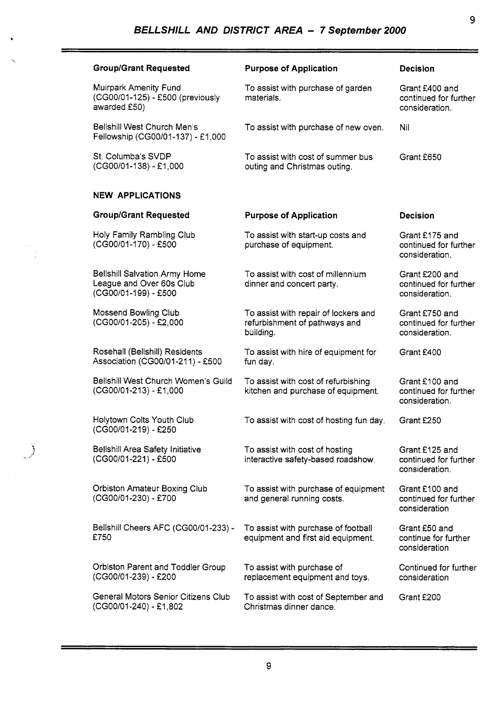| <b>Group/Grant Requested</b>                                                             | <b>Purpose of Application</b>                                                      | <b>Decision</b>                                           |
|------------------------------------------------------------------------------------------|------------------------------------------------------------------------------------|-----------------------------------------------------------|
| Muirpark Amenity Fund<br>(CG00/01-125) - £500 (previously<br>awarded £50)                | To assist with purchase of garden<br>materials.                                    | Grant £400 and<br>continued for further<br>consideration. |
| Bellshill West Church Men's<br>Fellowship (CG00/01-137) - £1,000                         | To assist with purchase of new oven.                                               | Nil                                                       |
| St. Columba's SVDP<br>(CG00/01-138) - £1,000                                             | To assist with cost of summer bus<br>outing and Christmas outing.                  | Grant £650                                                |
| <b>NEW APPLICATIONS</b>                                                                  |                                                                                    |                                                           |
| <b>Group/Grant Requested</b>                                                             | <b>Purpose of Application</b>                                                      | <b>Decision</b>                                           |
| Holy Family Rambling Club<br>(CG00/01-170) - £500                                        | To assist with start-up costs and<br>purchase of equipment.                        | Grant £175 and<br>continued for further<br>consideration. |
| <b>Belishill Salvation Army Home</b><br>League and Over 60s Club<br>(CG00/01-199) - £500 | To assist with cost of millennium<br>dinner and concert party.                     | Grant £200 and<br>continued for further<br>consideration. |
| Mossend Bowling Club<br>(CG00/01-205) - £2,000                                           | To assist with repair of lockers and<br>refurbishment of pathways and<br>building. | Grant £750 and<br>continued for further<br>consideration. |
| Rosehall (Bellshill) Residents<br>Association (CG00/01-211) - £500                       | To assist with hire of equipment for<br>fun day.                                   | Grant £400                                                |
| Bellshill West Church Women's Guild<br>$(CGOO/01-213) - £1,000$                          | To assist with cost of refurbishing<br>kitchen and purchase of equipment.          | Grant £100 and<br>continued for further<br>consideration. |
| <b>Holytown Colts Youth Club</b><br>(CG00/01-219) - £250                                 | To assist with cost of hosting fun day.                                            | Grant £250                                                |
| <b>Bellshill Area Safety Initiative</b><br>(CG00/01-221) - £500                          | To assist with cost of hosting<br>interactive safety-based roadshow.               | Grant £125 and<br>continued for further<br>consideration. |
| <b>Orbiston Amateur Boxing Club</b><br>(CG00/01-230) - £700                              | To assist with purchase of equipment<br>and general running costs.                 | Grant £100 and<br>continued for further<br>consideration  |
| Bellshill Cheers AFC (CG00/01-233) -<br>£750                                             | To assist with purchase of football<br>equipment and first aid equipment.          | Grant £50 and<br>continue for further<br>consideration    |
| Orbiston Parent and Toddler Group<br>(CG00/01-239) - £200                                | To assist with purchase of<br>replacement equipment and toys.                      | Continued for further<br>consideration                    |
| General Motors Senior Citizens Club<br>(CG00/01-240) - £1,802                            | To assist with cost of September and<br>Christmas dinner dance.                    | Grant £200                                                |

 $\bigcup$